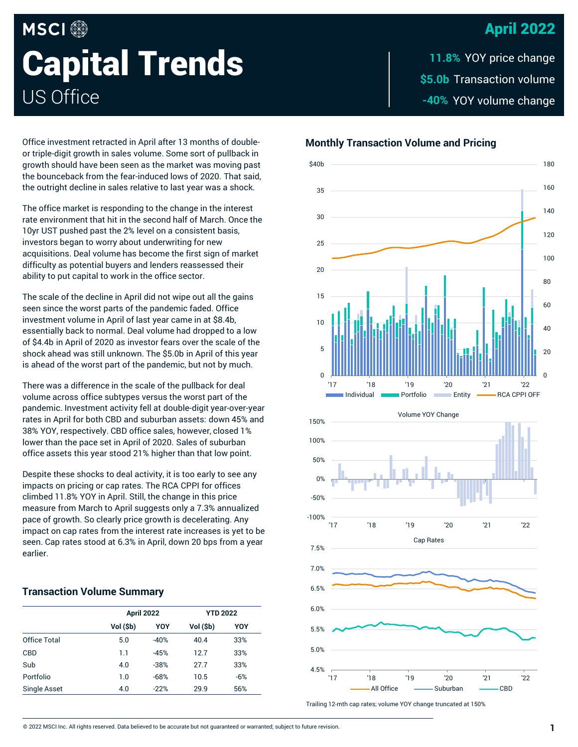# April 2022

# **MSCI Capital Trends** US Office

\$5.0b Transaction volume -40% YOY volume change **11.8%**

Office investment retracted in April after 13 months of doubleor triple-digit growth in sales volume. Some sort of pullback in growth should have been seen as the market was moving past the bounceback from the fear-induced lows of 2020. That said,

The office market is responding to the change in the interest rate environment that hit in the second half of March. Once the 10yr UST pushed past the 2% level on a consistent basis, investors began to worry about underwriting for new acquisitions. Deal volume has become the first sign of market difficulty as potential buyers and lenders reassessed their ability to put capital to work in the office sector.

the outright decline in sales relative to last year was a shock.

The scale of the decline in April did not wipe out all the gains seen since the worst parts of the pandemic faded. Office investment volume in April of last year came in at \$8.4b, essentially back to normal. Deal volume had dropped to a low of \$4.4b in April of 2020 as investor fears over the scale of the shock ahead was still unknown. The \$5.0b in April of this year is ahead of the worst part of the pandemic, but not by much.

There was a difference in the scale of the pullback for deal volume across office subtypes versus the worst part of the pandemic. Investment activity fell at double-digit year-over-year rates in April for both CBD and suburban assets: down 45% and 38% YOY, respectively. CBD office sales, however, closed 1% lower than the pace set in April of 2020. Sales of suburban office assets this year stood 21% higher than that low point.

Despite these shocks to deal activity, it is too early to see any impacts on pricing or cap rates. The RCA CPPI for offices climbed 11.8% YOY in April. Still, the change in this price measure from March to April suggests only a 7.3% annualized pace of growth. So clearly price growth is decelerating. Any impact on cap rates from the interest rate increases is yet to be seen. Cap rates stood at 6.3% in April, down 20 bps from a year earlier.

# **Transaction Volume Summary**

|                     | <b>April 2022</b> |        | <b>YTD 2022</b> |       |
|---------------------|-------------------|--------|-----------------|-------|
|                     |                   |        |                 |       |
|                     | Vol (\$b)         | YOY    | Vol (\$b)       | YOY   |
| Office Total        | 5.0               | $-40%$ | 40.4            | 33%   |
| <b>CBD</b>          | 1.1               | $-45%$ | 12.7            | 33%   |
| Sub                 | 4.0               | $-38%$ | 27.7            | 33%   |
| Portfolio           | 1.0               | $-68%$ | 10.5            | $-6%$ |
| <b>Single Asset</b> | 4.0               | $-22%$ | 29.9            | 56%   |

### **Monthly Transaction Volume and Pricing**



Trailing 12-mth cap rates; volume YOY change truncated at 150%